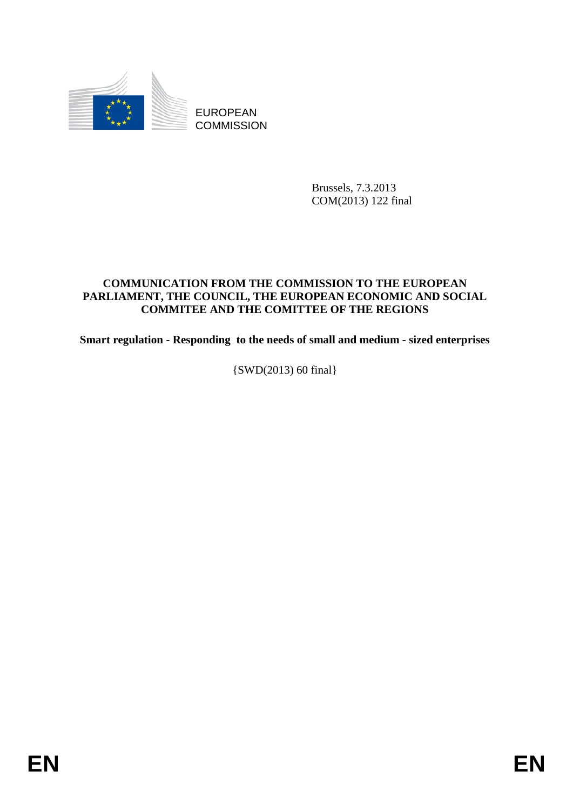

EUROPEAN **COMMISSION** 

> Brussels, 7.3.2013 COM(2013) 122 final

## **COMMUNICATION FROM THE COMMISSION TO THE EUROPEAN PARLIAMENT, THE COUNCIL, THE EUROPEAN ECONOMIC AND SOCIAL COMMITEE AND THE COMITTEE OF THE REGIONS**

**Smart regulation - Responding to the needs of small and medium - sized enterprises** 

# {SWD(2013) 60 final}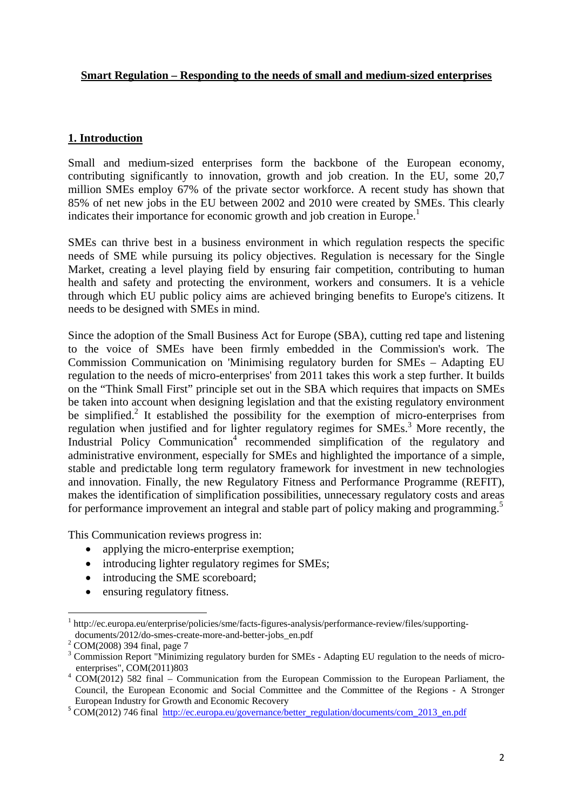#### **Smart Regulation – Responding to the needs of small and medium-sized enterprises**

## **1. Introduction**

Small and medium-sized enterprises form the backbone of the European economy, contributing significantly to innovation, growth and job creation. In the EU, some 20,7 million SMEs employ 67% of the private sector workforce. A recent study has shown that 85% of net new jobs in the EU between 2002 and 2010 were created by SMEs. This clearly indicates their importance for economic growth and job creation in Europe.<sup>1</sup>

SMEs can thrive best in a business environment in which regulation respects the specific needs of SME while pursuing its policy objectives. Regulation is necessary for the Single Market, creating a level playing field by ensuring fair competition, contributing to human health and safety and protecting the environment, workers and consumers. It is a vehicle through which EU public policy aims are achieved bringing benefits to Europe's citizens. It needs to be designed with SMEs in mind.

Since the adoption of the Small Business Act for Europe (SBA), cutting red tape and listening to the voice of SMEs have been firmly embedded in the Commission's work. The Commission Communication on 'Minimising regulatory burden for SMEs – Adapting EU regulation to the needs of micro-enterprises' from 2011 takes this work a step further. It builds on the "Think Small First" principle set out in the SBA which requires that impacts on SMEs be taken into account when designing legislation and that the existing regulatory environment be simplified.<sup>2</sup> It established the possibility for the exemption of micro-enterprises from regulation when justified and for lighter regulatory regimes for SMEs.<sup>3</sup> More recently, the Industrial Policy Communication<sup>4</sup> recommended simplification of the regulatory and administrative environment, especially for SMEs and highlighted the importance of a simple, stable and predictable long term regulatory framework for investment in new technologies and innovation. Finally, the new Regulatory Fitness and Performance Programme (REFIT), makes the identification of simplification possibilities, unnecessary regulatory costs and areas for performance improvement an integral and stable part of policy making and programming.<sup>5</sup>

This Communication reviews progress in:

- applying the micro-enterprise exemption;
- introducing lighter regulatory regimes for SMEs;
- introducing the SME scoreboard;
- ensuring regulatory fitness.

<sup>1</sup> <sup>1</sup> http://ec.europa.eu/enterprise/policies/sme/facts-figures-analysis/performance-review/files/supportingdocuments/2012/do-smes-create-more-and-better-jobs\_en.pdf

<sup>&</sup>lt;sup>2</sup> COM(2008) 394 final, page 7

<sup>&</sup>lt;sup>3</sup> Commission Report "Minimizing regulatory burden for SMEs - Adapting EU regulation to the needs of microenterprises",  $COM(2011)803$ 

 $4$  COM(2012) 582 final – Communication from the European Commission to the European Parliament, the Council, the European Economic and Social Committee and the Committee of the Regions - A Stronger

European Industry for Growth and Economic Recovery<br>
<sup>5</sup> [COM\(2012\) 746 final http://ec.europa.eu/governance/better\\_regulation/documents/com\\_2013\\_en.pdf](http://ec.europa.eu/governance/better_regulation/documents/com_2013_en.pdf)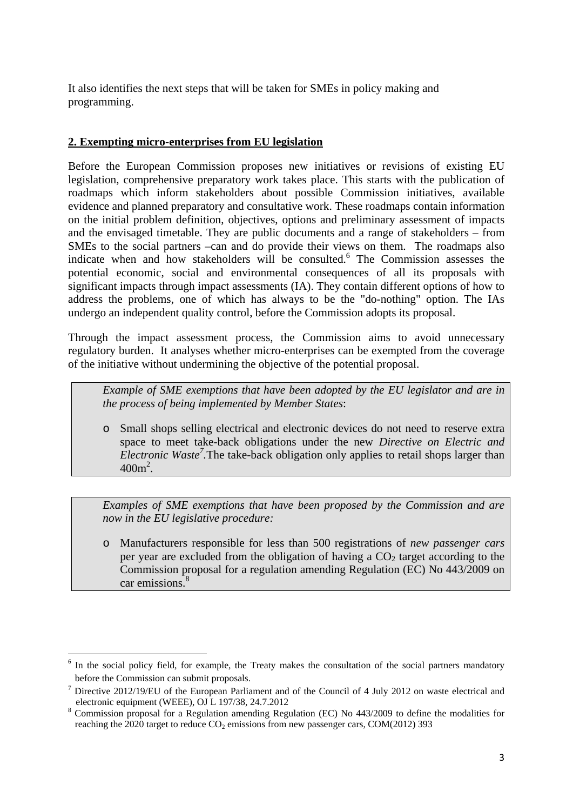It also identifies the next steps that will be taken for SMEs in policy making and programming.

#### **2. Exempting micro-enterprises from EU legislation**

Before the European Commission proposes new initiatives or revisions of existing EU legislation, comprehensive preparatory work takes place. This starts with the publication of roadmaps which inform stakeholders about possible Commission initiatives, available evidence and planned preparatory and consultative work. These roadmaps contain information on the initial problem definition, objectives, options and preliminary assessment of impacts and the envisaged timetable. They are public documents and a range of stakeholders – from SMEs to the social partners –can and do provide their views on them. The roadmaps also indicate when and how stakeholders will be consulted.<sup>6</sup> The Commission assesses the potential economic, social and environmental consequences of all its proposals with significant impacts through impact assessments (IA). They contain different options of how to address the problems, one of which has always to be the "do-nothing" option. The IAs undergo an independent quality control, before the Commission adopts its proposal.

Through the impact assessment process, the Commission aims to avoid unnecessary regulatory burden. It analyses whether micro-enterprises can be exempted from the coverage of the initiative without undermining the objective of the potential proposal.

*Example of SME exemptions that have been adopted by the EU legislator and are in the process of being implemented by Member States*:

o Small shops selling electrical and electronic devices do not need to reserve extra space to meet take-back obligations under the new *Directive on Electric and Electronic Waste*<sup>7</sup>. The take-back obligation only applies to retail shops larger than  $400m^2$ .

*Examples of SME exemptions that have been proposed by the Commission and are now in the EU legislative procedure:* 

o Manufacturers responsible for less than 500 registrations of *new passenger cars* per year are excluded from the obligation of having a  $CO<sub>2</sub>$  target according to the Commission proposal for a regulation amending Regulation (EC) No 443/2009 on car emissions.<sup>8</sup>

1

<sup>&</sup>lt;sup>6</sup> In the social policy field, for example, the Treaty makes the consultation of the social partners mandatory before the Commission can submit proposals.

<sup>&</sup>lt;sup>7</sup> Directive 2012/19/EU of the European Parliament and of the Council of 4 July 2012 on waste electrical and

electronic equipment (WEEE), OJ L 197/38, 24.7.2012<br><sup>8</sup> Commission proposal for a Regulation amending Regulation (EC) No 443/2009 to define the modalities for reaching the  $2020$  target to reduce CO<sub>2</sub> emissions from new passenger cars, COM(2012) 393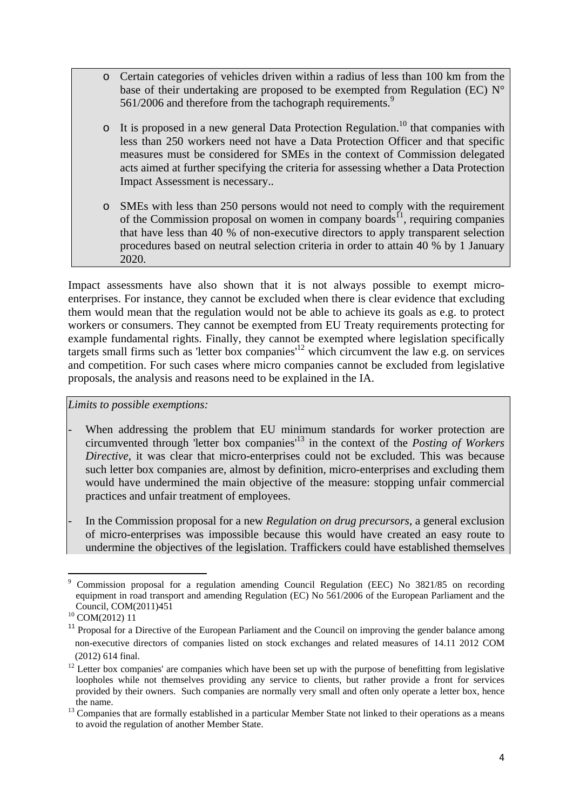- o Certain categories of vehicles driven within a radius of less than 100 km from the base of their undertaking are proposed to be exempted from Regulation (EC)  $N^{\circ}$ 561/2006 and therefore from the tachograph requirements.<sup>9</sup>
- $\circ$  It is proposed in a new general Data Protection Regulation.<sup>10</sup> that companies with less than 250 workers need not have a Data Protection Officer and that specific measures must be considered for SMEs in the context of Commission delegated acts aimed at further specifying the criteria for assessing whether a Data Protection Impact Assessment is necessary..
- o SMEs with less than 250 persons would not need to comply with the requirement of the Commission proposal on women in company boards<sup>11</sup>, requiring companies that have less than 40 % of non-executive directors to apply transparent selection procedures based on neutral selection criteria in order to attain 40 % by 1 January 2020.

Impact assessments have also shown that it is not always possible to exempt microenterprises. For instance, they cannot be excluded when there is clear evidence that excluding them would mean that the regulation would not be able to achieve its goals as e.g. to protect workers or consumers. They cannot be exempted from EU Treaty requirements protecting for example fundamental rights. Finally, they cannot be exempted where legislation specifically targets small firms such as 'letter box companies'<sup>12</sup> which circumvent the law e.g. on services and competition. For such cases where micro companies cannot be excluded from legislative proposals, the analysis and reasons need to be explained in the IA.

*Limits to possible exemptions:* 

When addressing the problem that EU minimum standards for worker protection are circumvented through 'letter box companies'13 in the context of the *Posting of Workers Directive*, it was clear that micro-enterprises could not be excluded. This was because such letter box companies are, almost by definition, micro-enterprises and excluding them would have undermined the main objective of the measure: stopping unfair commercial practices and unfair treatment of employees.

- In the Commission proposal for a new *Regulation on drug precursors*, a general exclusion of micro-enterprises was impossible because this would have created an easy route to undermine the objectives of the legislation. Traffickers could have established themselves

**<sup>.</sup>** 9 Commission proposal for a regulation amending Council Regulation (EEC) No 3821/85 on recording equipment in road transport and amending Regulation (EC) No 561/2006 of the European Parliament and the Council, COM(2011)451<br><sup>10</sup> COM(2012) 11

<sup>&</sup>lt;sup>11</sup> Proposal for a Directive of the European Parliament and the Council on improving the gender balance among non-executive directors of companies listed on stock exchanges and related measures of 14.11 2012 COM (2012) 614 final.

<sup>&</sup>lt;sup>12</sup> Letter box companies' are companies which have been set up with the purpose of benefitting from legislative loopholes while not themselves providing any service to clients, but rather provide a front for services provided by their owners. Such companies are normally very small and often only operate a letter box, hence

the name.<br><sup>13</sup> Companies that are formally established in a particular Member State not linked to their operations as a means to avoid the regulation of another Member State.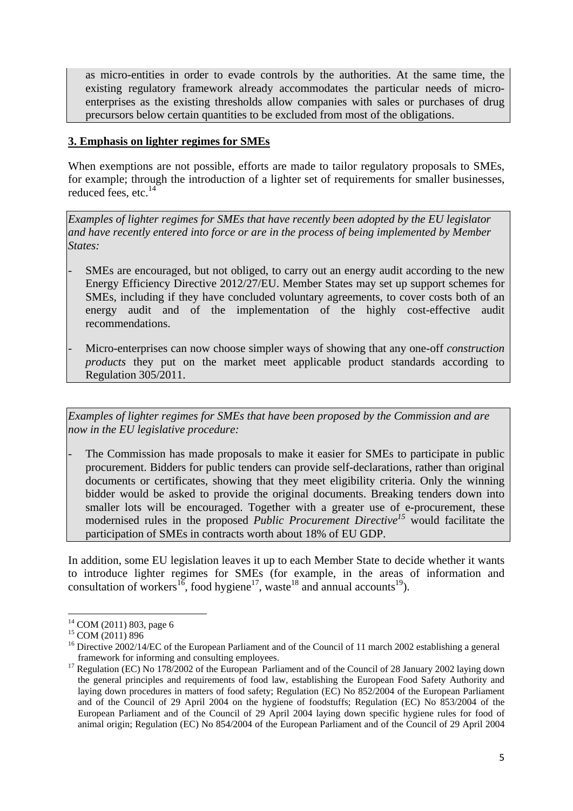as micro-entities in order to evade controls by the authorities. At the same time, the existing regulatory framework already accommodates the particular needs of microenterprises as the existing thresholds allow companies with sales or purchases of drug precursors below certain quantities to be excluded from most of the obligations.

## **3. Emphasis on lighter regimes for SMEs**

When exemptions are not possible, efforts are made to tailor regulatory proposals to SMEs. for example; through the introduction of a lighter set of requirements for smaller businesses, reduced fees, etc.<sup>14</sup>

*Examples of lighter regimes for SMEs that have recently been adopted by the EU legislator and have recently entered into force or are in the process of being implemented by Member States:*

- SMEs are encouraged, but not obliged, to carry out an energy audit according to the new Energy Efficiency Directive 2012/27/EU. Member States may set up support schemes for SMEs, including if they have concluded voluntary agreements, to cover costs both of an energy audit and of the implementation of the highly cost-effective audit recommendations.
- Micro-enterprises can now choose simpler ways of showing that any one-off *construction products* they put on the market meet applicable product standards according to Regulation 305/2011.

*Examples of lighter regimes for SMEs that have been proposed by the Commission and are now in the EU legislative procedure:*

The Commission has made proposals to make it easier for SMEs to participate in public procurement. Bidders for public tenders can provide self-declarations, rather than original documents or certificates, showing that they meet eligibility criteria. Only the winning bidder would be asked to provide the original documents. Breaking tenders down into smaller lots will be encouraged. Together with a greater use of e-procurement, these modernised rules in the proposed *Public Procurement Directive<sup>15</sup>* would facilitate the participation of SMEs in contracts worth about 18% of EU GDP.

In addition, some EU legislation leaves it up to each Member State to decide whether it wants to introduce lighter regimes for SMEs (for example, in the areas of information and consultation of workers<sup>16</sup>, food hygiene<sup>17</sup>, waste<sup>18</sup> and annual accounts<sup>19</sup>).

**<sup>.</sup>**  $14$  COM (2011) 803, page 6

<sup>&</sup>lt;sup>15</sup> COM (2011) 896

<sup>&</sup>lt;sup>16</sup> Directive 2002/14/EC of the European Parliament and of the Council of 11 march 2002 establishing a general framework for informing and consulting employees.<br><sup>17</sup> Regulation (EC) No 178/2002 of the European Parliament and of the Council of 28 January 2002 laying down

the general principles and requirements of food law, establishing the European Food Safety Authority and laying down procedures in matters of food safety; Regulation (EC) No 852/2004 of the European Parliament and of the Council of 29 April 2004 on the hygiene of foodstuffs; Regulation (EC) No 853/2004 of the European Parliament and of the Council of 29 April 2004 laying down specific hygiene rules for food of animal origin; Regulation (EC) No 854/2004 of the European Parliament and of the Council of 29 April 2004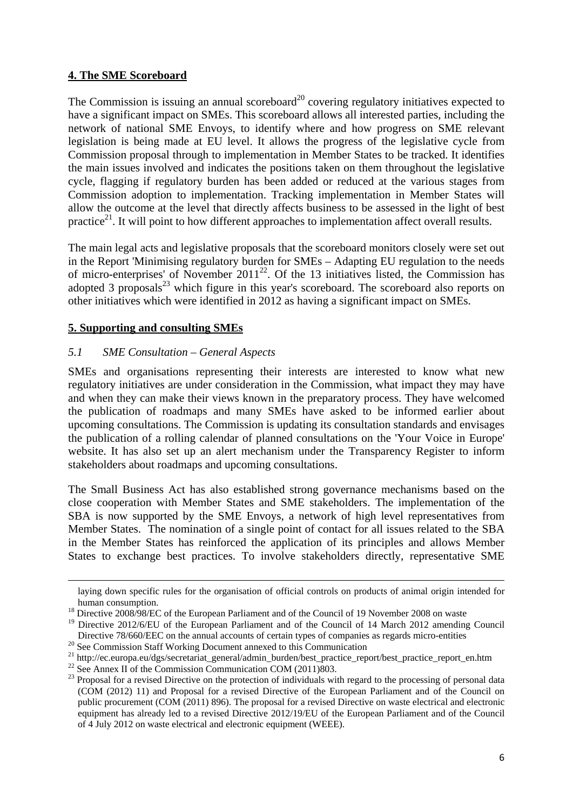## **4. The SME Scoreboard**

The Commission is issuing an annual scoreboard<sup>20</sup> covering regulatory initiatives expected to have a significant impact on SMEs. This scoreboard allows all interested parties, including the network of national SME Envoys, to identify where and how progress on SME relevant legislation is being made at EU level. It allows the progress of the legislative cycle from Commission proposal through to implementation in Member States to be tracked. It identifies the main issues involved and indicates the positions taken on them throughout the legislative cycle, flagging if regulatory burden has been added or reduced at the various stages from Commission adoption to implementation. Tracking implementation in Member States will allow the outcome at the level that directly affects business to be assessed in the light of best practice<sup>21</sup>. It will point to how different approaches to implementation affect overall results.

The main legal acts and legislative proposals that the scoreboard monitors closely were set out in the Report 'Minimising regulatory burden for SMEs – Adapting EU regulation to the needs of micro-enterprises' of November  $2011^{22}$ . Of the 13 initiatives listed, the Commission has adopted 3 proposals $^{23}$  which figure in this year's scoreboard. The scoreboard also reports on other initiatives which were identified in 2012 as having a significant impact on SMEs.

## **5. Supporting and consulting SMEs**

**.** 

## *5.1 SME Consultation – General Aspects*

SMEs and organisations representing their interests are interested to know what new regulatory initiatives are under consideration in the Commission, what impact they may have and when they can make their views known in the preparatory process. They have welcomed the publication of roadmaps and many SMEs have asked to be informed earlier about upcoming consultations. The Commission is updating its consultation standards and envisages the publication of a rolling calendar of planned consultations on the 'Your Voice in Europe' website. It has also set up an alert mechanism under the Transparency Register to inform stakeholders about roadmaps and upcoming consultations.

The Small Business Act has also established strong governance mechanisms based on the close cooperation with Member States and SME stakeholders. The implementation of the SBA is now supported by the SME Envoys, a network of high level representatives from Member States. The nomination of a single point of contact for all issues related to the SBA in the Member States has reinforced the application of its principles and allows Member States to exchange best practices. To involve stakeholders directly, representative SME

laying down specific rules for the organisation of official controls on products of animal origin intended for

human consumption.<br><sup>18</sup> Directive 2008/98/EC of the European Parliament and of the Council of 19 November 2008 on waste

<sup>&</sup>lt;sup>19</sup> Directive 2012/6/EU of the European Parliament and of the Council of 14 March 2012 amending Council Directive 78/660/EEC on the annual accounts of certain types of companies as regards micro-entities 20 See Commission Staff Working Document annexed to this Communication

<sup>21</sup> http://ec.europa.eu/dgs/secretariat\_general/admin\_burden/best\_practice\_report/best\_practice\_report\_en.htm

<sup>&</sup>lt;sup>22</sup> See Annex II of the Commission Communication COM (2011)803.

<sup>&</sup>lt;sup>23</sup> Proposal for a revised Directive on the protection of individuals with regard to the processing of personal data (COM (2012) 11) and Proposal for a revised Directive of the European Parliament and of the Council on public procurement (COM (2011) 896). The proposal for a revised Directive on waste electrical and electronic equipment has already led to a revised Directive 2012/19/EU of the European Parliament and of the Council of 4 July 2012 on waste electrical and electronic equipment (WEEE).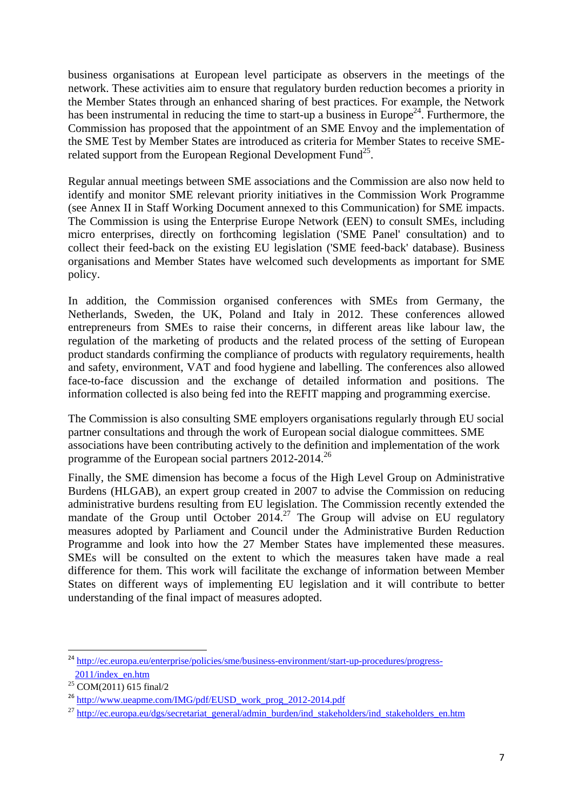business organisations at European level participate as observers in the meetings of the network. These activities aim to ensure that regulatory burden reduction becomes a priority in the Member States through an enhanced sharing of best practices. For example, the Network has been instrumental in reducing the time to start-up a business in Europe<sup>24</sup>. Furthermore, the Commission has proposed that the appointment of an SME Envoy and the implementation of the SME Test by Member States are introduced as criteria for Member States to receive SMErelated support from the European Regional Development Fund<sup>25</sup>.

Regular annual meetings between SME associations and the Commission are also now held to identify and monitor SME relevant priority initiatives in the Commission Work Programme (see Annex II in Staff Working Document annexed to this Communication) for SME impacts. The Commission is using the Enterprise Europe Network (EEN) to consult SMEs, including micro enterprises, directly on forthcoming legislation ('SME Panel' consultation) and to collect their feed-back on the existing EU legislation ('SME feed-back' database). Business organisations and Member States have welcomed such developments as important for SME policy.

In addition, the Commission organised conferences with SMEs from Germany, the Netherlands, Sweden, the UK, Poland and Italy in 2012. These conferences allowed entrepreneurs from SMEs to raise their concerns, in different areas like labour law, the regulation of the marketing of products and the related process of the setting of European product standards confirming the compliance of products with regulatory requirements, health and safety, environment, VAT and food hygiene and labelling. The conferences also allowed face-to-face discussion and the exchange of detailed information and positions. The information collected is also being fed into the REFIT mapping and programming exercise.

The Commission is also consulting SME employers organisations regularly through EU social partner consultations and through the work of European social dialogue committees. SME associations have been contributing actively to the definition and implementation of the work programme of the European social partners  $2012-2014$ <sup>26</sup>

Finally, the SME dimension has become a focus of the High Level Group on Administrative Burdens (HLGAB), an expert group created in 2007 to advise the Commission on reducing administrative burdens resulting from EU legislation. The Commission recently extended the mandate of the Group until October  $2014.<sup>27</sup>$  The Group will advise on EU regulatory measures adopted by Parliament and Council under the Administrative Burden Reduction Programme and look into how the 27 Member States have implemented these measures. SMEs will be consulted on the extent to which the measures taken have made a real difference for them. This work will facilitate the exchange of information between Member States on different ways of implementing EU legislation and it will contribute to better understanding of the final impact of measures adopted.

1

<sup>&</sup>lt;sup>24</sup> [http://ec.europa.eu/enterprise/policies/sme/business-environment/start-up-procedures/progress-](http://ec.europa.eu/enterprise/policies/sme/business-environment/start-up-procedures/progress- 2011/index_en.htm)[2011/index\\_en.htm](http://ec.europa.eu/enterprise/policies/sme/business-environment/start-up-procedures/progress- 2011/index_en.htm)

 $25 \overline{COM(2011)}$  615 final/2

<sup>&</sup>lt;sup>26</sup> [http://www.ueapme.com/IMG/pdf/EUSD\\_work\\_prog\\_2012-2014.pdf](http://www.ueapme.com/IMG/pdf/EUSD_work_prog_2012-2014.pdf)

 $^{27}$  [http://ec.europa.eu/dgs/secretariat\\_general/admin\\_burden/ind\\_stakeholders/ind\\_stakeholders\\_en.htm](http://ec.europa.eu/dgs/secretariat_general/admin_burden/ind_stakeholders/ind_stakeholders_en.htm)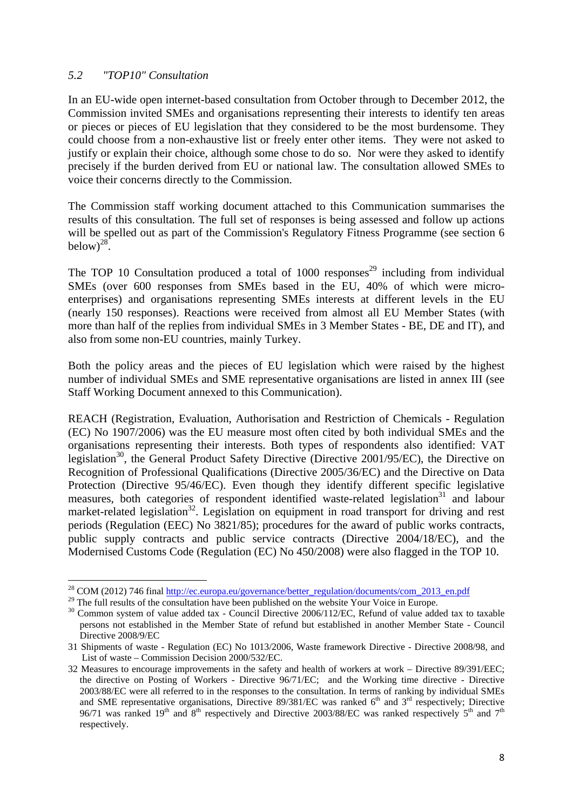## *5.2 "TOP10" Consultation*

**.** 

In an EU-wide open internet-based consultation from October through to December 2012, the Commission invited SMEs and organisations representing their interests to identify ten areas or pieces or pieces of EU legislation that they considered to be the most burdensome. They could choose from a non-exhaustive list or freely enter other items. They were not asked to justify or explain their choice, although some chose to do so. Nor were they asked to identify precisely if the burden derived from EU or national law. The consultation allowed SMEs to voice their concerns directly to the Commission.

The Commission staff working document attached to this Communication summarises the results of this consultation. The full set of responses is being assessed and follow up actions will be spelled out as part of the Commission's Regulatory Fitness Programme (see section 6 below) $^{28}$ .

The TOP 10 Consultation produced a total of  $1000$  responses<sup>29</sup> including from individual SMEs (over 600 responses from SMEs based in the EU, 40% of which were microenterprises) and organisations representing SMEs interests at different levels in the EU (nearly 150 responses). Reactions were received from almost all EU Member States (with more than half of the replies from individual SMEs in 3 Member States - BE, DE and IT), and also from some non-EU countries, mainly Turkey.

Both the policy areas and the pieces of EU legislation which were raised by the highest number of individual SMEs and SME representative organisations are listed in annex III (see Staff Working Document annexed to this Communication).

REACH (Registration, Evaluation, Authorisation and Restriction of Chemicals - Regulation (EC) No 1907/2006) was the EU measure most often cited by both individual SMEs and the organisations representing their interests. Both types of respondents also identified: VAT legislation<sup>30</sup>, the General Product Safety Directive (Directive 2001/95/EC), the Directive on Recognition of Professional Qualifications (Directive 2005/36/EC) and the Directive on Data Protection (Directive 95/46/EC). Even though they identify different specific legislative measures, both categories of respondent identified waste-related legislation<sup>31</sup> and labour market-related legislation<sup>32</sup>. Legislation on equipment in road transport for driving and rest periods (Regulation (EEC) No 3821/85); procedures for the award of public works contracts, public supply contracts and public service contracts (Directive 2004/18/EC), and the Modernised Customs Code (Regulation (EC) No 450/2008) were also flagged in the TOP 10.

<sup>&</sup>lt;sup>28</sup> COM [\(2012\) 746 final](http://ec.europa.eu/governance/better_regulation/documents/com_2013_en.pdf) <u>http://ec.europa.eu/governance/better\_regulation/documents/com\_2013\_en.pdf</u>

<sup>&</sup>lt;sup>29</sup> The full results of the consultation have been published on the website Your Voice in Europe.

<sup>&</sup>lt;sup>30</sup> Common system of value added tax - Council Directive 2006/112/EC, Refund of value added tax to taxable persons not established in the Member State of refund but established in another Member State - Council Directive 2008/9/EC

<sup>31</sup> Shipments of waste - Regulation (EC) No 1013/2006, Waste framework Directive - Directive 2008/98, and List of waste – Commission Decision 2000/532/EC.

<sup>32</sup> Measures to encourage improvements in the safety and health of workers at work – Directive 89/391/EEC; the directive on Posting of Workers - Directive 96/71/EC; and the Working time directive - Directive 2003/88/EC were all referred to in the responses to the consultation. In terms of ranking by individual SMEs and SME representative organisations, Directive 89/381/EC was ranked  $6<sup>th</sup>$  and  $3<sup>rd</sup>$  respectively; Directive 96/71 was ranked 19<sup>th</sup> and 8<sup>th</sup> respectively and Directive 2003/88/EC was ranked respectively 5<sup>th</sup> and 7<sup>th</sup> respectively.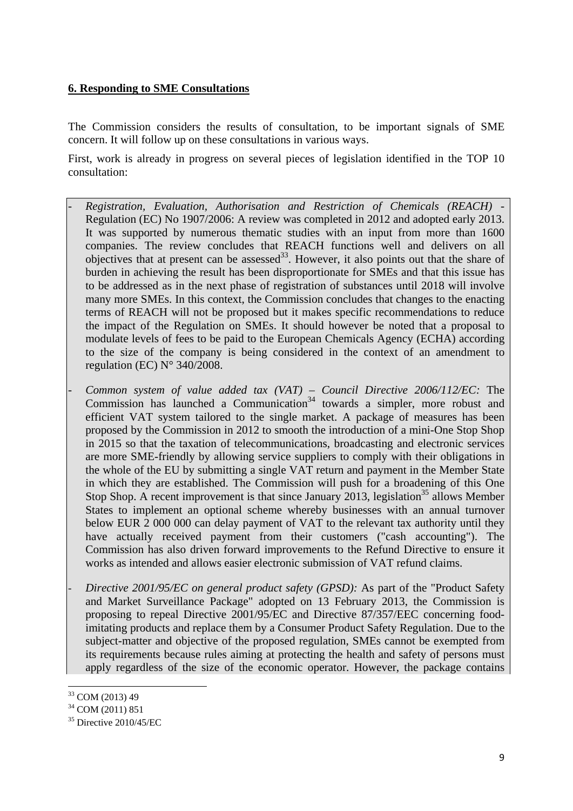## **6. Responding to SME Consultations**

The Commission considers the results of consultation, to be important signals of SME concern. It will follow up on these consultations in various ways.

First, work is already in progress on several pieces of legislation identified in the TOP 10 consultation:

- *Registration, Evaluation, Authorisation and Restriction of Chemicals (REACH)* - Regulation (EC) No 1907/2006: A review was completed in 2012 and adopted early 2013. It was supported by numerous thematic studies with an input from more than 1600 companies. The review concludes that REACH functions well and delivers on all objectives that at present can be assessed $^{33}$ . However, it also points out that the share of burden in achieving the result has been disproportionate for SMEs and that this issue has to be addressed as in the next phase of registration of substances until 2018 will involve many more SMEs. In this context, the Commission concludes that changes to the enacting terms of REACH will not be proposed but it makes specific recommendations to reduce the impact of the Regulation on SMEs. It should however be noted that a proposal to modulate levels of fees to be paid to the European Chemicals Agency (ECHA) according to the size of the company is being considered in the context of an amendment to regulation (EC)  $N^{\circ}$  340/2008.

- *Common system of value added tax (VAT) – Council Directive 2006/112/EC:* The Commission has launched a Communication<sup>34</sup> towards a simpler, more robust and efficient VAT system tailored to the single market. A package of measures has been proposed by the Commission in 2012 to smooth the introduction of a mini-One Stop Shop in 2015 so that the taxation of telecommunications, broadcasting and electronic services are more SME-friendly by allowing service suppliers to comply with their obligations in the whole of the EU by submitting a single VAT return and payment in the Member State in which they are established. The Commission will push for a broadening of this One Stop Shop. A recent improvement is that since January 2013, legislation<sup>35</sup> allows Member States to implement an optional scheme whereby businesses with an annual turnover below EUR 2 000 000 can delay payment of VAT to the relevant tax authority until they have actually received payment from their customers ("cash accounting"). The Commission has also driven forward improvements to the Refund Directive to ensure it works as intended and allows easier electronic submission of VAT refund claims.

- *Directive 2001/95/EC on general product safety (GPSD):* As part of the "Product Safety and Market Surveillance Package" adopted on 13 February 2013, the Commission is proposing to repeal Directive 2001/95/EC and Directive 87/357/EEC concerning foodimitating products and replace them by a Consumer Product Safety Regulation. Due to the subject-matter and objective of the proposed regulation, SMEs cannot be exempted from its requirements because rules aiming at protecting the health and safety of persons must apply regardless of the size of the economic operator. However, the package contains

**<sup>.</sup>** 33 COM (2013) 49

<sup>34</sup> COM (2011) 851

 $35$  Directive 2010/45/EC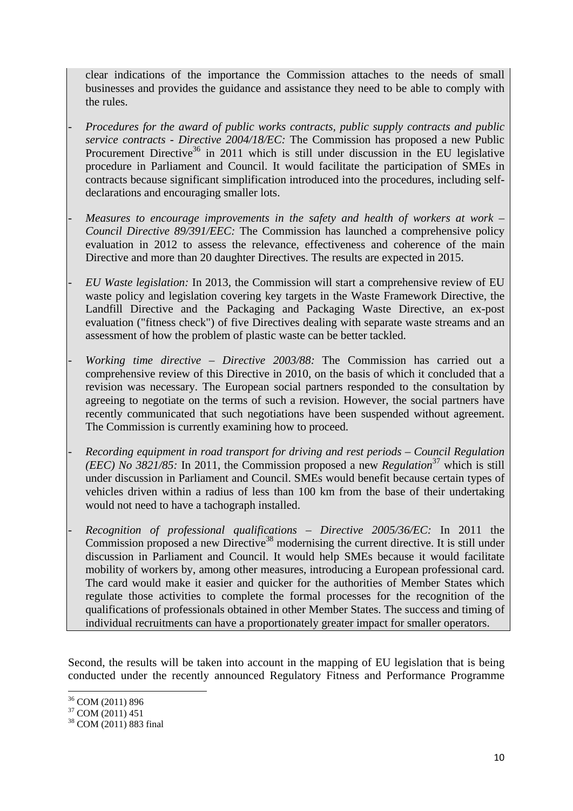clear indications of the importance the Commission attaches to the needs of small businesses and provides the guidance and assistance they need to be able to comply with the rules.

- *Procedures for the award of public works contracts, public supply contracts and public service contracts - Directive 2004/18/EC:* The Commission has proposed a new Public Procurement Directive<sup>36</sup> in 2011 which is still under discussion in the EU legislative procedure in Parliament and Council. It would facilitate the participation of SMEs in contracts because significant simplification introduced into the procedures, including selfdeclarations and encouraging smaller lots.

*Measures to encourage improvements in the safety and health of workers at work – Council Directive 89/391/EEC:* The Commission has launched a comprehensive policy evaluation in 2012 to assess the relevance, effectiveness and coherence of the main Directive and more than 20 daughter Directives. The results are expected in 2015.

- *EU Waste legislation:* In 2013, the Commission will start a comprehensive review of EU waste policy and legislation covering key targets in the Waste Framework Directive, the Landfill Directive and the Packaging and Packaging Waste Directive, an ex-post evaluation ("fitness check") of five Directives dealing with separate waste streams and an assessment of how the problem of plastic waste can be better tackled.

- *Working time directive – Directive 2003/88:* The Commission has carried out a comprehensive review of this Directive in 2010, on the basis of which it concluded that a revision was necessary. The European social partners responded to the consultation by agreeing to negotiate on the terms of such a revision. However, the social partners have recently communicated that such negotiations have been suspended without agreement. The Commission is currently examining how to proceed.

- *Recording equipment in road transport for driving and rest periods – Council Regulation (EEC) No 3821/85:* In 2011, the Commission proposed a new *Regulation*37 which is still under discussion in Parliament and Council. SMEs would benefit because certain types of vehicles driven within a radius of less than 100 km from the base of their undertaking would not need to have a tachograph installed.

- *Recognition of professional qualifications – Directive 2005/36/EC:* In 2011 the Commission proposed a new Directive<sup>38</sup> modernising the current directive. It is still under discussion in Parliament and Council. It would help SMEs because it would facilitate mobility of workers by, among other measures, introducing a European professional card. The card would make it easier and quicker for the authorities of Member States which regulate those activities to complete the formal processes for the recognition of the qualifications of professionals obtained in other Member States. The success and timing of individual recruitments can have a proportionately greater impact for smaller operators.

Second, the results will be taken into account in the mapping of EU legislation that is being conducted under the recently announced Regulatory Fitness and Performance Programme

1

<sup>36</sup> COM (2011) 896

<sup>37</sup> COM (2011) 451

<sup>&</sup>lt;sup>38</sup> COM (2011) 883 final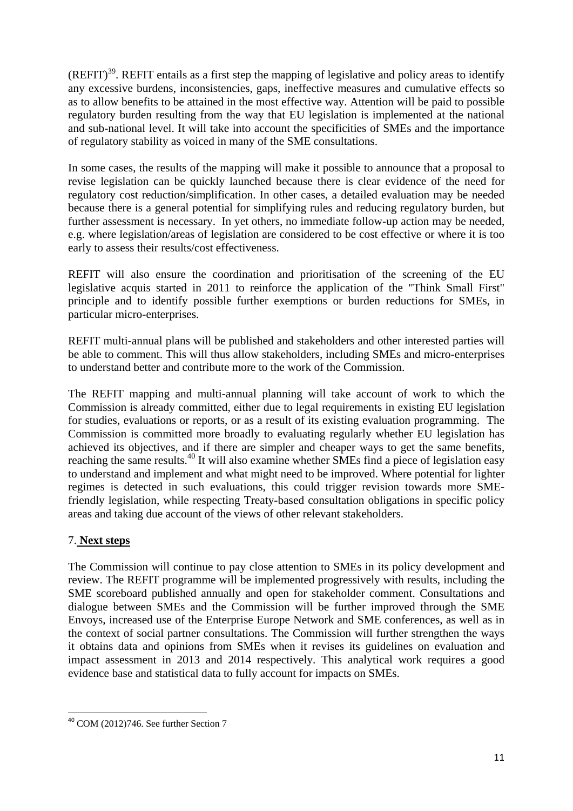$(REFIT)^{39}$ . REFIT entails as a first step the mapping of legislative and policy areas to identify any excessive burdens, inconsistencies, gaps, ineffective measures and cumulative effects so as to allow benefits to be attained in the most effective way. Attention will be paid to possible regulatory burden resulting from the way that EU legislation is implemented at the national and sub-national level. It will take into account the specificities of SMEs and the importance of regulatory stability as voiced in many of the SME consultations.

In some cases, the results of the mapping will make it possible to announce that a proposal to revise legislation can be quickly launched because there is clear evidence of the need for regulatory cost reduction/simplification. In other cases, a detailed evaluation may be needed because there is a general potential for simplifying rules and reducing regulatory burden, but further assessment is necessary. In yet others, no immediate follow-up action may be needed, e.g. where legislation/areas of legislation are considered to be cost effective or where it is too early to assess their results/cost effectiveness.

REFIT will also ensure the coordination and prioritisation of the screening of the EU legislative acquis started in 2011 to reinforce the application of the "Think Small First" principle and to identify possible further exemptions or burden reductions for SMEs, in particular micro-enterprises.

REFIT multi-annual plans will be published and stakeholders and other interested parties will be able to comment. This will thus allow stakeholders, including SMEs and micro-enterprises to understand better and contribute more to the work of the Commission.

The REFIT mapping and multi-annual planning will take account of work to which the Commission is already committed, either due to legal requirements in existing EU legislation for studies, evaluations or reports, or as a result of its existing evaluation programming. The Commission is committed more broadly to evaluating regularly whether EU legislation has achieved its objectives, and if there are simpler and cheaper ways to get the same benefits, reaching the same results.<sup>40</sup> It will also examine whether SMEs find a piece of legislation easy to understand and implement and what might need to be improved. Where potential for lighter regimes is detected in such evaluations, this could trigger revision towards more SMEfriendly legislation, while respecting Treaty-based consultation obligations in specific policy areas and taking due account of the views of other relevant stakeholders.

## 7. **Next steps**

The Commission will continue to pay close attention to SMEs in its policy development and review. The REFIT programme will be implemented progressively with results, including the SME scoreboard published annually and open for stakeholder comment. Consultations and dialogue between SMEs and the Commission will be further improved through the SME Envoys, increased use of the Enterprise Europe Network and SME conferences, as well as in the context of social partner consultations. The Commission will further strengthen the ways it obtains data and opinions from SMEs when it revises its guidelines on evaluation and impact assessment in 2013 and 2014 respectively. This analytical work requires a good evidence base and statistical data to fully account for impacts on SMEs.

**<sup>.</sup>**  $40$  COM (2012)746. See further Section 7